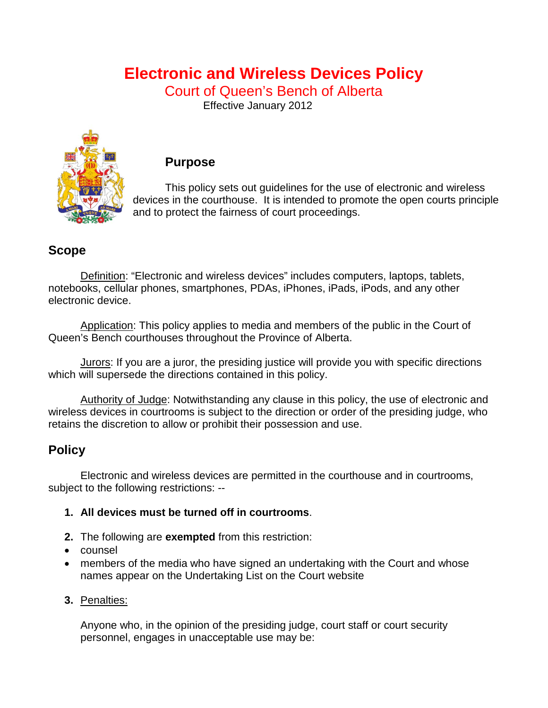# **Electronic and Wireless Devices Policy**

Court of Queen's Bench of Alberta

Effective January 2012



### **Purpose**

This policy sets out guidelines for the use of electronic and wireless devices in the courthouse. It is intended to promote the open courts principle and to protect the fairness of court proceedings.

## **Scope**

Definition: "Electronic and wireless devices" includes computers, laptops, tablets, notebooks, cellular phones, smartphones, PDAs, iPhones, iPads, iPods, and any other electronic device.

Application: This policy applies to media and members of the public in the Court of Queen's Bench courthouses throughout the Province of Alberta.

Jurors: If you are a juror, the presiding justice will provide you with specific directions which will supersede the directions contained in this policy.

Authority of Judge: Notwithstanding any clause in this policy, the use of electronic and wireless devices in courtrooms is subject to the direction or order of the presiding judge, who retains the discretion to allow or prohibit their possession and use.

# **Policy**

Electronic and wireless devices are permitted in the courthouse and in courtrooms, subject to the following restrictions: --

### **1. All devices must be turned off in courtrooms**.

- **2.** The following are **exempted** from this restriction:
- counsel
- members of the media who have signed an undertaking with the Court and whose names appear on the Undertaking List on the Court website
- **3.** Penalties:

Anyone who, in the opinion of the presiding judge, court staff or court security personnel, engages in unacceptable use may be: